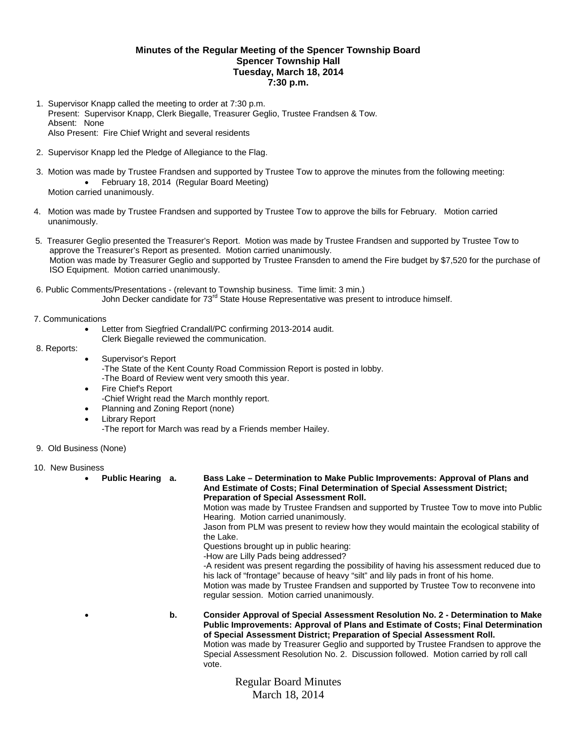## **Minutes of the Regular Meeting of the Spencer Township Board Spencer Township Hall Tuesday, March 18, 2014 7:30 p.m.**

- 1. Supervisor Knapp called the meeting to order at 7:30 p.m. Present: Supervisor Knapp, Clerk Biegalle, Treasurer Geglio, Trustee Frandsen & Tow. Absent: None Also Present: Fire Chief Wright and several residents
- 2. Supervisor Knapp led the Pledge of Allegiance to the Flag.
- 3. Motion was made by Trustee Frandsen and supported by Trustee Tow to approve the minutes from the following meeting: • February 18, 2014 (Regular Board Meeting) Motion carried unanimously.
- 4. Motion was made by Trustee Frandsen and supported by Trustee Tow to approve the bills for February. Motion carried unanimously.
- 5. Treasurer Geglio presented the Treasurer's Report. Motion was made by Trustee Frandsen and supported by Trustee Tow to approve the Treasurer's Report as presented. Motion carried unanimously. Motion was made by Treasurer Geglio and supported by Trustee Fransden to amend the Fire budget by \$7,520 for the purchase of ISO Equipment. Motion carried unanimously.
- 6. Public Comments/Presentations (relevant to Township business. Time limit: 3 min.) John Decker candidate for 73<sup>rd</sup> State House Representative was present to introduce himself.

## 7. Communications

- Letter from Siegfried Crandall/PC confirming 2013-2014 audit.
- Clerk Biegalle reviewed the communication.

## 8. Reports:

- Supervisor's Report -The State of the Kent County Road Commission Report is posted in lobby. -The Board of Review went very smooth this year.
- Fire Chief's Report -Chief Wright read the March monthly report.
- Planning and Zoning Report (none)
- Library Report
	- -The report for March was read by a Friends member Hailey.

# 9. Old Business (None)

#### 10. New Business

 **Public Hearing a. Bass Lake – Determination to Make Public Improvements: Approval of Plans and And Estimate of Costs; Final Determination of Special Assessment District; Preparation of Special Assessment Roll.** 

Motion was made by Trustee Frandsen and supported by Trustee Tow to move into Public Hearing. Motion carried unanimously.

Jason from PLM was present to review how they would maintain the ecological stability of the Lake.

Questions brought up in public hearing:

-How are Lilly Pads being addressed?

-A resident was present regarding the possibility of having his assessment reduced due to his lack of "frontage" because of heavy "silt" and lily pads in front of his home. Motion was made by Trustee Frandsen and supported by Trustee Tow to reconvene into regular session. Motion carried unanimously.

 **b. Consider Approval of Special Assessment Resolution No. 2 - Determination to Make Public Improvements: Approval of Plans and Estimate of Costs; Final Determination of Special Assessment District; Preparation of Special Assessment Roll.**  Motion was made by Treasurer Geglio and supported by Trustee Frandsen to approve the Special Assessment Resolution No. 2. Discussion followed. Motion carried by roll call vote.

> Regular Board Minutes March 18, 2014